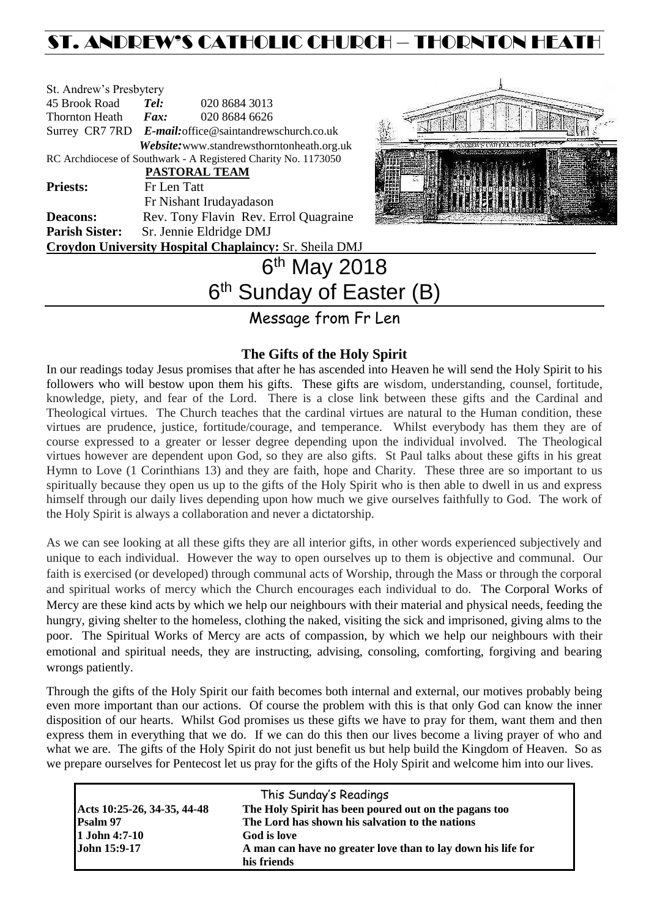# ST. ANDREW'S CATHOLIC CHURCH – THORNTON HEA

| St. Andrew's Presbytery                                        |                                                        |                         |  |  |  |
|----------------------------------------------------------------|--------------------------------------------------------|-------------------------|--|--|--|
| 45 Brook Road                                                  | Tel:                                                   | 020 8684 3013           |  |  |  |
| Thornton Heath                                                 | Fax:                                                   | 020 8684 6626           |  |  |  |
|                                                                | Surrey CR7 7RD E-mail: office@saintandrewschurch.co.uk |                         |  |  |  |
| Website: www.standrewsthorntonheath.org.uk                     |                                                        |                         |  |  |  |
| RC Archdiocese of Southwark - A Registered Charity No. 1173050 |                                                        |                         |  |  |  |
| <b>PASTORAL TEAM</b>                                           |                                                        |                         |  |  |  |
| <b>Priests:</b>                                                | Fr Len Tatt                                            |                         |  |  |  |
|                                                                |                                                        | Fr Nishant Irudayadason |  |  |  |
| <b>Deacons:</b>                                                | Rev. Tony Flavin Rev. Errol Quagraine                  |                         |  |  |  |
| <b>Parish Sister:</b>                                          | Sr. Jennie Eldridge DMJ                                |                         |  |  |  |
| <b>Croydon University Hospital Chaplaincy: Sr. Sheila DMJ</b>  |                                                        |                         |  |  |  |
|                                                                |                                                        | May 201                 |  |  |  |



## 6 <sup>th</sup> May 2018 6<sup>th</sup> Sunday of Easter (B)

Message from Fr Len

## **The Gifts of the Holy Spirit**

In our readings today Jesus promises that after he has ascended into Heaven he will send the Holy Spirit to his followers who will bestow upon them his gifts. These gifts are wisdom, understanding, counsel, fortitude, knowledge, piety, and fear of the Lord. There is a close link between these gifts and the Cardinal and Theological virtues. The Church teaches that the cardinal virtues are natural to the Human condition, these virtues are prudence, justice, fortitude/courage, and temperance. Whilst everybody has them they are of course expressed to a greater or lesser degree depending upon the individual involved. The Theological virtues however are dependent upon God, so they are also gifts. St Paul talks about these gifts in his great Hymn to Love (1 Corinthians 13) and they are faith, hope and Charity. These three are so important to us spiritually because they open us up to the gifts of the Holy Spirit who is then able to dwell in us and express himself through our daily lives depending upon how much we give ourselves faithfully to God. The work of the Holy Spirit is always a collaboration and never a dictatorship.

As we can see looking at all these gifts they are all interior gifts, in other words experienced subjectively and unique to each individual. However the way to open ourselves up to them is objective and communal. Our faith is exercised (or developed) through communal acts of Worship, through the Mass or through the corporal and spiritual works of mercy which the Church encourages each individual to do. The Corporal Works of Mercy are these kind acts by which we help our neighbours with their material and physical needs, feeding the hungry, giving shelter to the homeless, clothing the naked, visiting the sick and imprisoned, giving alms to the poor. The Spiritual Works of Mercy are acts of compassion, by which we help our neighbours with their emotional and spiritual needs, they are instructing, advising, consoling, comforting, forgiving and bearing wrongs patiently.

Through the gifts of the Holy Spirit our faith becomes both internal and external, our motives probably being even more important than our actions. Of course the problem with this is that only God can know the inner disposition of our hearts. Whilst God promises us these gifts we have to pray for them, want them and then express them in everything that we do. If we can do this then our lives become a living prayer of who and what we are. The gifts of the Holy Spirit do not just benefit us but help build the Kingdom of Heaven. So as we prepare ourselves for Pentecost let us pray for the gifts of the Holy Spirit and welcome him into our lives.

| This Sunday's Readings                                                               |                                                              |  |  |  |
|--------------------------------------------------------------------------------------|--------------------------------------------------------------|--|--|--|
| The Holy Spirit has been poured out on the pagans too<br>Acts 10:25-26, 34-35, 44-48 |                                                              |  |  |  |
| <b>Psalm 97</b>                                                                      | The Lord has shown his salvation to the nations              |  |  |  |
| $1$ John 4:7-10                                                                      | God is love                                                  |  |  |  |
| John 15:9-17                                                                         | A man can have no greater love than to lay down his life for |  |  |  |
|                                                                                      | his friends                                                  |  |  |  |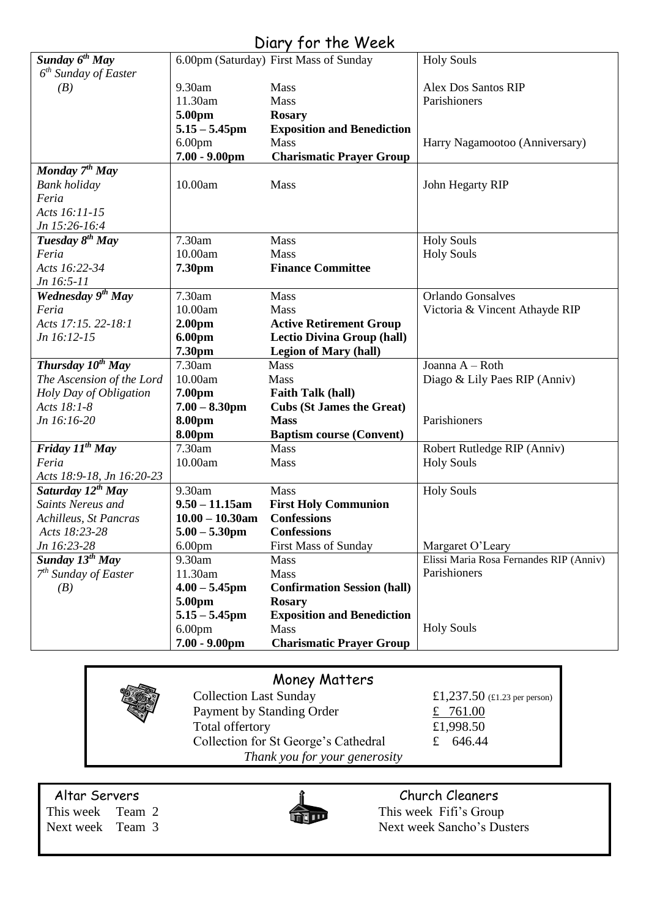# Diary for the Week

| Sunday 6 <sup>th</sup> May    |                    | 6.00pm (Saturday) First Mass of Sunday | <b>Holy Souls</b>                       |
|-------------------------------|--------------------|----------------------------------------|-----------------------------------------|
| $6th$ Sunday of Easter        |                    |                                        |                                         |
| (B)                           | 9.30am             | Mass                                   | <b>Alex Dos Santos RIP</b>              |
|                               | 11.30am            | Mass                                   | Parishioners                            |
|                               | 5.00pm             | <b>Rosary</b>                          |                                         |
|                               | $5.15 - 5.45$ pm   | <b>Exposition and Benediction</b>      |                                         |
|                               | 6.00 <sub>pm</sub> | Mass                                   | Harry Nagamootoo (Anniversary)          |
|                               | $7.00 - 9.00$ pm   | <b>Charismatic Prayer Group</b>        |                                         |
| Monday 7 <sup>th</sup> May    |                    |                                        |                                         |
| <b>Bank</b> holiday           | 10.00am            | Mass                                   | John Hegarty RIP                        |
| Feria                         |                    |                                        |                                         |
| Acts 16:11-15                 |                    |                                        |                                         |
| Jn 15:26-16:4                 |                    |                                        |                                         |
| Tuesday 8 <sup>th</sup> May   | 7.30am             | Mass                                   | <b>Holy Souls</b>                       |
| Feria                         | 10.00am            | Mass                                   | <b>Holy Souls</b>                       |
| Acts 16:22-34                 | 7.30pm             | <b>Finance Committee</b>               |                                         |
| Jn 16:5-11                    |                    |                                        |                                         |
| Wednesday 9 <sup>th</sup> May | 7.30am             | Mass                                   | <b>Orlando Gonsalves</b>                |
| Feria                         | 10.00am            | Mass                                   | Victoria & Vincent Athayde RIP          |
| Acts 17:15. 22-18:1           | 2.00pm             | <b>Active Retirement Group</b>         |                                         |
| Jn 16:12-15                   | 6.00pm             | <b>Lectio Divina Group (hall)</b>      |                                         |
|                               | 7.30pm             | <b>Legion of Mary (hall)</b>           |                                         |
| Thursday 10 <sup>th</sup> May | 7.30am             | <b>Mass</b>                            | Joanna A - Roth                         |
| The Ascension of the Lord     | 10.00am            | Mass                                   | Diago & Lily Paes RIP (Anniv)           |
| Holy Day of Obligation        | 7.00pm             | <b>Faith Talk (hall)</b>               |                                         |
| Acts 18:1-8                   | $7.00 - 8.30$ pm   | <b>Cubs (St James the Great)</b>       |                                         |
| Jn 16:16-20                   | 8.00pm             | <b>Mass</b>                            | Parishioners                            |
|                               | 8.00pm             | <b>Baptism course (Convent)</b>        |                                         |
| Friday $II^{th}$ May          | 7.30am             | Mass                                   | Robert Rutledge RIP (Anniv)             |
| Feria                         | 10.00am            | Mass                                   | <b>Holy Souls</b>                       |
| Acts 18:9-18, Jn 16:20-23     |                    |                                        |                                         |
| Saturday 12 <sup>th</sup> May | 9.30am             | Mass                                   | <b>Holy Souls</b>                       |
| Saints Nereus and             | $9.50 - 11.15$ am  | <b>First Holy Communion</b>            |                                         |
| Achilleus, St Pancras         | $10.00 - 10.30$ am | <b>Confessions</b>                     |                                         |
| Acts 18:23-28                 | $5.00 - 5.30$ pm   | <b>Confessions</b>                     |                                         |
| Jn 16:23-28                   | 6.00 <sub>pm</sub> | <b>First Mass of Sunday</b>            | Margaret O'Leary                        |
| Sunday 13 <sup>th</sup> May   | 9.30am             | Mass                                   | Elissi Maria Rosa Fernandes RIP (Anniv) |
| $7th$ Sunday of Easter        | 11.30am            | Mass                                   | Parishioners                            |
| (B)                           | $4.00 - 5.45$ pm   | <b>Confirmation Session (hall)</b>     |                                         |
|                               | 5.00pm             | <b>Rosary</b>                          |                                         |
|                               | $5.15 - 5.45$ pm   | <b>Exposition and Benediction</b>      |                                         |
|                               | 6.00 <sub>pm</sub> | <b>Mass</b>                            | <b>Holy Souls</b>                       |
|                               | $7.00 - 9.00$ pm   | <b>Charismatic Prayer Group</b>        |                                         |
|                               |                    |                                        |                                         |

# Money Matters

| <b>Collection Last Sunday</b>        | £1,237.50 (£1.23 per person) |
|--------------------------------------|------------------------------|
| Payment by Standing Order            | £ 761.00                     |
| Total offertory                      | £1,998.50                    |
| Collection for St George's Cathedral | £ 646.44                     |
| Thank you for your generosity        |                              |

Altar Servers<br>
This week Team 2 This week Fifi's Group



This week Team 2 This week Fifi's Group<br>Next week Team 3 Next week Sancho's Du Next week Sancho's Dusters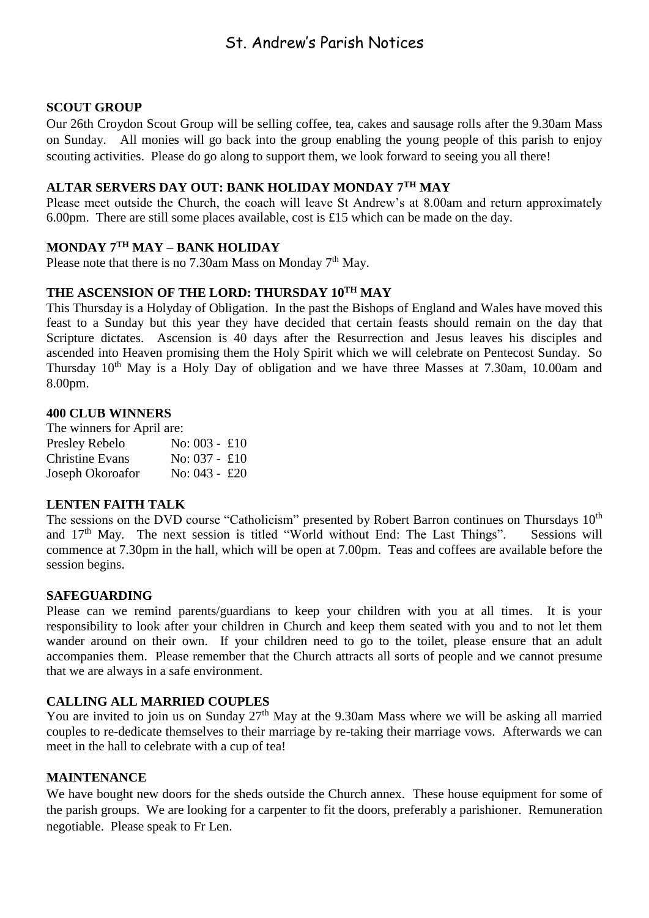## St. Andrew's Parish Notices

### **SCOUT GROUP**

Our 26th Croydon Scout Group will be selling coffee, tea, cakes and sausage rolls after the 9.30am Mass on Sunday. All monies will go back into the group enabling the young people of this parish to enjoy scouting activities. Please do go along to support them, we look forward to seeing you all there!

## **ALTAR SERVERS DAY OUT: BANK HOLIDAY MONDAY 7TH MAY**

Please meet outside the Church, the coach will leave St Andrew's at 8.00am and return approximately 6.00pm. There are still some places available, cost is £15 which can be made on the day.

#### **MONDAY 7TH MAY – BANK HOLIDAY**

Please note that there is no 7.30am Mass on Monday  $7<sup>th</sup>$  May.

#### **THE ASCENSION OF THE LORD: THURSDAY 10TH MAY**

This Thursday is a Holyday of Obligation. In the past the Bishops of England and Wales have moved this feast to a Sunday but this year they have decided that certain feasts should remain on the day that Scripture dictates. Ascension is 40 days after the Resurrection and Jesus leaves his disciples and ascended into Heaven promising them the Holy Spirit which we will celebrate on Pentecost Sunday. So Thursday  $10<sup>th</sup>$  May is a Holy Day of obligation and we have three Masses at 7.30am, 10.00am and 8.00pm.

#### **400 CLUB WINNERS**

The winners for April are: Presley Rebelo No: 003 - £10 Christine Evans No: 037 - £10 Joseph Okoroafor No: 043 - £20

#### **LENTEN FAITH TALK**

The sessions on the DVD course "Catholicism" presented by Robert Barron continues on Thursdays 10<sup>th</sup> and  $17<sup>th</sup>$  May. The next session is titled "World without End: The Last Things". Sessions will commence at 7.30pm in the hall, which will be open at 7.00pm. Teas and coffees are available before the session begins.

#### **SAFEGUARDING**

Please can we remind parents/guardians to keep your children with you at all times. It is your responsibility to look after your children in Church and keep them seated with you and to not let them wander around on their own. If your children need to go to the toilet, please ensure that an adult accompanies them. Please remember that the Church attracts all sorts of people and we cannot presume that we are always in a safe environment.

#### **CALLING ALL MARRIED COUPLES**

You are invited to join us on Sunday 27<sup>th</sup> May at the 9.30am Mass where we will be asking all married couples to re-dedicate themselves to their marriage by re-taking their marriage vows. Afterwards we can meet in the hall to celebrate with a cup of tea!

#### **MAINTENANCE**

We have bought new doors for the sheds outside the Church annex. These house equipment for some of the parish groups. We are looking for a carpenter to fit the doors, preferably a parishioner. Remuneration negotiable. Please speak to Fr Len.